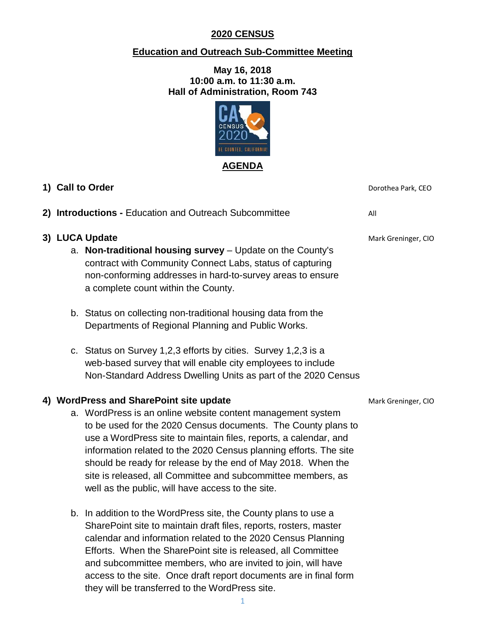#### **2020 CENSUS**

#### **Education and Outreach Sub-Committee Meeting**

#### **May 16, 2018 10:00 a.m. to 11:30 a.m. Hall of Administration, Room 743**



|  | 1) Call to Order                                                                                                                                                                                                                                                                                                                                                                                                                                           | Dorothea Park, CEO  |
|--|------------------------------------------------------------------------------------------------------------------------------------------------------------------------------------------------------------------------------------------------------------------------------------------------------------------------------------------------------------------------------------------------------------------------------------------------------------|---------------------|
|  | 2) Introductions - Education and Outreach Subcommittee                                                                                                                                                                                                                                                                                                                                                                                                     | All                 |
|  | 3) LUCA Update<br>a. Non-traditional housing survey - Update on the County's<br>contract with Community Connect Labs, status of capturing<br>non-conforming addresses in hard-to-survey areas to ensure<br>a complete count within the County.                                                                                                                                                                                                             | Mark Greninger, CIO |
|  | b. Status on collecting non-traditional housing data from the<br>Departments of Regional Planning and Public Works.                                                                                                                                                                                                                                                                                                                                        |                     |
|  | c. Status on Survey 1,2,3 efforts by cities. Survey 1,2,3 is a<br>web-based survey that will enable city employees to include<br>Non-Standard Address Dwelling Units as part of the 2020 Census                                                                                                                                                                                                                                                            |                     |
|  | 4) WordPress and SharePoint site update                                                                                                                                                                                                                                                                                                                                                                                                                    | Mark Greninger, CIO |
|  | a. WordPress is an online website content management system<br>to be used for the 2020 Census documents. The County plans to<br>use a WordPress site to maintain files, reports, a calendar, and<br>information related to the 2020 Census planning efforts. The site<br>should be ready for release by the end of May 2018. When the<br>site is released, all Committee and subcommittee members, as<br>well as the public, will have access to the site. |                     |
|  | b. In addition to the WordPress site, the County plans to use a<br>SharePoint site to maintain draft files, reports, rosters, master<br>calendar and information related to the 2020 Census Planning<br>Efforts. When the SharePoint site is released, all Committee                                                                                                                                                                                       |                     |

and subcommittee members, who are invited to join, will have access to the site. Once draft report documents are in final form

they will be transferred to the WordPress site.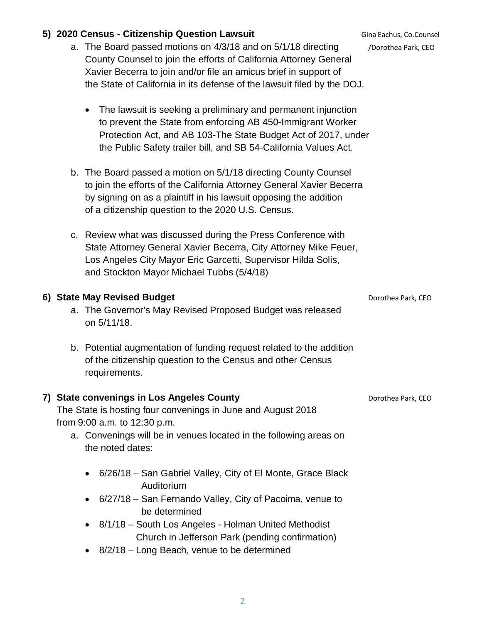# **5) 2020 Census - Citizenship Question Lawsuit** Gina Eachus, Co.Counsel

- a. The Board passed motions on 4/3/18 and on 5/1/18 directing *[Dorothea Park, CEO*] County Counsel to join the efforts of California Attorney General Xavier Becerra to join and/or file an amicus brief in support of the State of California in its defense of the lawsuit filed by the DOJ.
	- The lawsuit is seeking a preliminary and permanent injunction to prevent the State from enforcing AB 450-Immigrant Worker Protection Act, and AB 103-The State Budget Act of 2017, under the Public Safety trailer bill, and SB 54-California Values Act.
- b. The Board passed a motion on 5/1/18 directing County Counsel to join the efforts of the California Attorney General Xavier Becerra by signing on as a plaintiff in his lawsuit opposing the addition of a citizenship question to the 2020 U.S. Census.
- c. Review what was discussed during the Press Conference with State Attorney General Xavier Becerra, City Attorney Mike Feuer, Los Angeles City Mayor Eric Garcetti, Supervisor Hilda Solis, and Stockton Mayor Michael Tubbs (5/4/18)

# **6) State May Revised Budget CEO Dorothea Park, CEO**

- a. The Governor's May Revised Proposed Budget was released on 5/11/18.
- b. Potential augmentation of funding request related to the addition of the citizenship question to the Census and other Census requirements.

# **7) State convenings in Los Angeles County Department Convenies Park, CEO**

The State is hosting four convenings in June and August 2018 from 9:00 a.m. to 12:30 p.m.

- a. Convenings will be in venues located in the following areas on the noted dates:
	- 6/26/18 San Gabriel Valley, City of El Monte, Grace Black Auditorium
	- 6/27/18 San Fernando Valley, City of Pacoima, venue to be determined
	- 8/1/18 South Los Angeles Holman United Methodist Church in Jefferson Park (pending confirmation)
	- 8/2/18 Long Beach, venue to be determined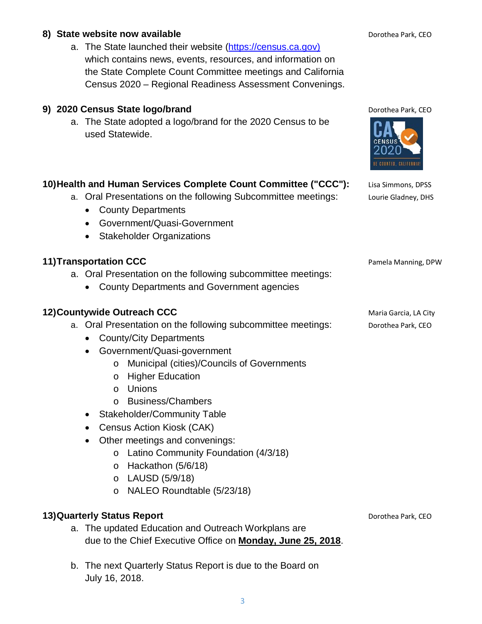a. The State launched their website (https://census.ca.gov) which contains news, events, resources, and information on the State Complete Count Committee meetings and California Census 2020 – Regional Readiness Assessment Convenings.

# **9) 2020 Census State logo/brand Dorothea Park, CEO** Dorothea Park, CEO

a. The State adopted a logo/brand for the 2020 Census to be used Statewide.

### **10)Health and Human Services Complete Count Committee ("CCC"):** Lisa Simmons, DPSS

- a. Oral Presentations on the following Subcommittee meetings: Lourie Gladney, DHS
	- County Departments
	- Government/Quasi-Government
	- Stakeholder Organizations

### **11) Transportation CCC** Pamela Manning, DPW

- a. Oral Presentation on the following subcommittee meetings:
	- County Departments and Government agencies

#### **12) Countywide Outreach CCC Maria Garcia, LA City Maria Garcia, LA City**

- a. Oral Presentation on the following subcommittee meetings: Dorothea Park, CEO
	- County/City Departments
	- Government/Quasi-government
		- o Municipal (cities)/Councils of Governments
		- o Higher Education
		- o Unions
		- o Business/Chambers
	- Stakeholder/Community Table
	- Census Action Kiosk (CAK)
	- Other meetings and convenings:
		- o Latino Community Foundation (4/3/18)
			- o Hackathon (5/6/18)
			- o LAUSD (5/9/18)
			- o NALEO Roundtable (5/23/18)

#### **13) Quarterly Status Report** Dorothea Park, CEO

- a. The updated Education and Outreach Workplans are due to the Chief Executive Office on **Monday, June 25, 2018**.
- b. The next Quarterly Status Report is due to the Board on July 16, 2018.